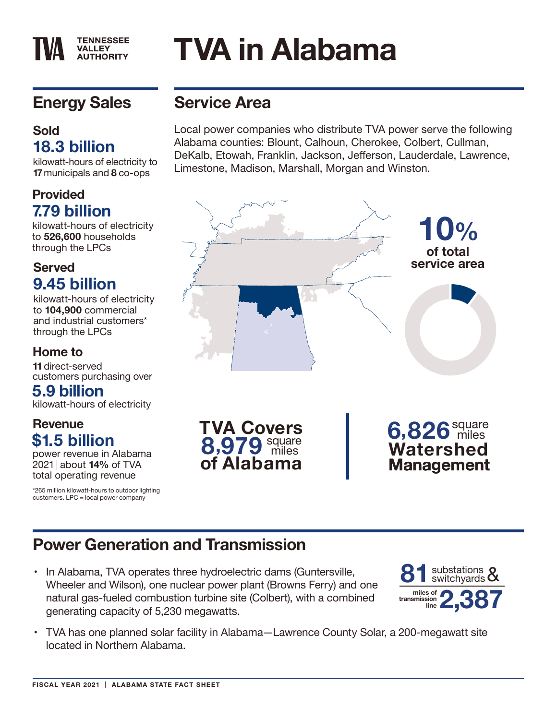# **Energy Sales**

**TENNESSEE VALLEY AUTHORITY** 

#### **Sold 18.3 billion**

kilowatt-hours of electricity to **17** municipals and **8** co-ops

#### **Provided 7.79 billion**

kilowatt-hours of electricity to **526,600** households through the LPCs

#### **Served 9.45 billion**

kilowatt-hours of electricity to **104,900** commercial and industrial customers\* through the LPCs

#### **Home to**

**11** direct-served customers purchasing over

#### **5.9 billion**

kilowatt-hours of electricity

#### **Revenue \$1.5 billion**

power revenue in Alabama 2021 about **14%** of TVA total operating revenue

\*265 million kilowatt-hours to outdoor lighting customers. LPC = local power company

## **Service Area**

**TVA in Alabama**

Local power companies who distribute TVA power serve the following Alabama counties: Blount, Calhoun, Cherokee, Colbert, Cullman, DeKalb, Etowah, Franklin, Jackson, Jefferson, Lauderdale, Lawrence, Limestone, Madison, Marshall, Morgan and Winston.



## **Power Generation and Transmission**

• In Alabama, TVA operates three hydroelectric dams (Guntersville, Wheeler and Wilson), one nuclear power plant (Browns Ferry) and one natural gas-fueled combustion turbine site (Colbert), with a combined generating capacity of 5,230 megawatts.



• TVA has one planned solar facility in Alabama—Lawrence County Solar, a 200-megawatt site located in Northern Alabama.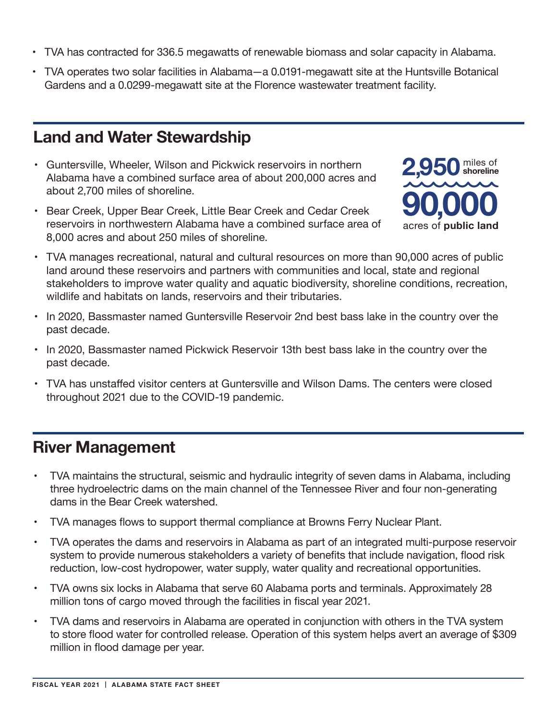- TVA has contracted for 336.5 megawatts of renewable biomass and solar capacity in Alabama.
- TVA operates two solar facilities in Alabama—a 0.0191-megawatt site at the Huntsville Botanical Gardens and a 0.0299-megawatt site at the Florence wastewater treatment facility.

#### **Land and Water Stewardship**

- Guntersville, Wheeler, Wilson and Pickwick reservoirs in northern Alabama have a combined surface area of about 200,000 acres and about 2,700 miles of shoreline.
- Bear Creek, Upper Bear Creek, Little Bear Creek and Cedar Creek reservoirs in northwestern Alabama have a combined surface area of 8,000 acres and about 250 miles of shoreline.



- TVA manages recreational, natural and cultural resources on more than 90,000 acres of public land around these reservoirs and partners with communities and local, state and regional stakeholders to improve water quality and aquatic biodiversity, shoreline conditions, recreation, wildlife and habitats on lands, reservoirs and their tributaries.
- In 2020, Bassmaster named Guntersville Reservoir 2nd best bass lake in the country over the past decade.
- In 2020, Bassmaster named Pickwick Reservoir 13th best bass lake in the country over the past decade.
- TVA has unstaffed visitor centers at Guntersville and Wilson Dams. The centers were closed throughout 2021 due to the COVID-19 pandemic.

### **River Management**

- TVA maintains the structural, seismic and hydraulic integrity of seven dams in Alabama, including three hydroelectric dams on the main channel of the Tennessee River and four non-generating dams in the Bear Creek watershed.
- TVA manages flows to support thermal compliance at Browns Ferry Nuclear Plant.
- TVA operates the dams and reservoirs in Alabama as part of an integrated multi-purpose reservoir system to provide numerous stakeholders a variety of benefits that include navigation, flood risk reduction, low-cost hydropower, water supply, water quality and recreational opportunities.
- TVA owns six locks in Alabama that serve 60 Alabama ports and terminals. Approximately 28 million tons of cargo moved through the facilities in fiscal year 2021.
- TVA dams and reservoirs in Alabama are operated in conjunction with others in the TVA system to store flood water for controlled release. Operation of this system helps avert an average of \$309 million in flood damage per year.